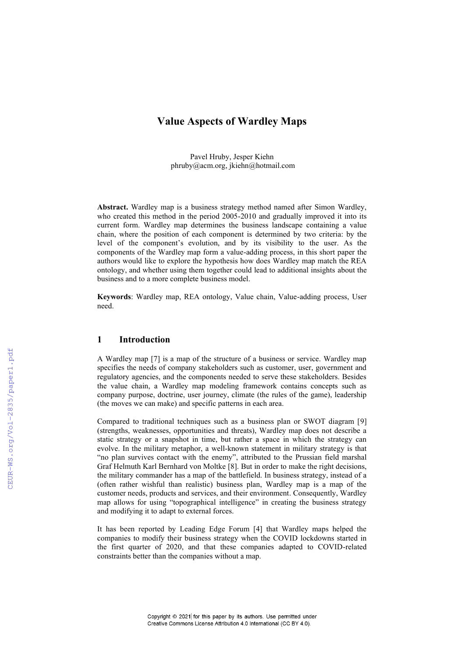# **Value Aspects of Wardley Maps**

Pavel Hruby, Jesper Kiehn [phruby@acm.org,](mailto:phruby@acm.org) jkiehn@hotmail.com

**Abstract.** Wardley map is a business strategy method named after Simon Wardley, who created this method in the period 2005-2010 and gradually improved it into its current form. Wardley map determines the business landscape containing a value chain, where the position of each component is determined by two criteria: by the level of the component's evolution, and by its visibility to the user. As the components of the Wardley map form a value-adding process, in this short paper the authors would like to explore the hypothesis how does Wardley map match the REA ontology, and whether using them together could lead to additional insights about the business and to a more complete business model.

**Keywords**: Wardley map, REA ontology, Value chain, Value-adding process, User need.

### **1 Introduction**

A Wardley map [7] is a map of the structure of a business or service. Wardley map specifies the needs of company stakeholders such as customer, user, government and regulatory agencies, and the components needed to serve these stakeholders. Besides the value chain, a Wardley map modeling framework contains concepts such as company purpose, doctrine, user journey, climate (the rules of the game), leadership (the moves we can make) and specific patterns in each area.

Compared to traditional techniques such as a business plan or SWOT diagram [9] (strengths, weaknesses, opportunities and threats), Wardley map does not describe a static strategy or a snapshot in time, but rather a space in which the strategy can evolve. In the military metaphor, a well-known statement in military strategy is that "no plan survives contact with the enemy", attributed to the Prussian field marshal Graf Helmuth Karl Bernhard von Moltke [8]. But in order to make the right decisions, the military commander has a map of the battlefield. In business strategy, instead of a (often rather wishful than realistic) business plan, Wardley map is a map of the customer needs, products and services, and their environment. Consequently, Wardley map allows for using "topographical intelligence" in creating the business strategy and modifying it to adapt to external forces.

It has been reported by Leading Edge Forum [4] that Wardley maps helped the companies to modify their business strategy when the COVID lockdowns started in the first quarter of 2020, and that these companies adapted to COVID-related constraints better than the companies without a map.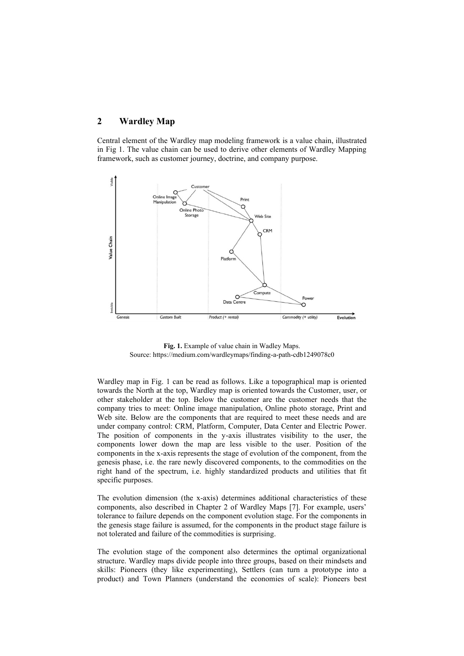## **2 Wardley Map**

Central element of the Wardley map modeling framework is a value chain, illustrated in Fig 1. The value chain can be used to derive other elements of Wardley Mapping framework, such as customer journey, doctrine, and company purpose.



**Fig. 1.** Example of value chain in Wadley Maps. Source[: https://medium.com/wardleymaps/finding-a-path-cdb1249078c0](https://medium.com/wardleymaps/finding-a-path-cdb1249078c0)

Wardley map in Fig. 1 can be read as follows. Like a topographical map is oriented towards the North at the top, Wardley map is oriented towards the Customer, user, or other stakeholder at the top. Below the customer are the customer needs that the company tries to meet: Online image manipulation, Online photo storage, Print and Web site. Below are the components that are required to meet these needs and are under company control: CRM, Platform, Computer, Data Center and Electric Power. The position of components in the y-axis illustrates visibility to the user, the components lower down the map are less visible to the user. Position of the components in the x-axis represents the stage of evolution of the component, from the genesis phase, i.e. the rare newly discovered components, to the commodities on the right hand of the spectrum, i.e. highly standardized products and utilities that fit specific purposes.

The evolution dimension (the x-axis) determines additional characteristics of these components, also described in Chapter 2 of Wardley Maps [7]. For example, users' tolerance to failure depends on the component evolution stage. For the components in the genesis stage failure is assumed, for the components in the product stage failure is not tolerated and failure of the commodities is surprising.

The evolution stage of the component also determines the optimal organizational structure. Wardley maps divide people into three groups, based on their mindsets and skills: Pioneers (they like experimenting), Settlers (can turn a prototype into a product) and Town Planners (understand the economies of scale): Pioneers best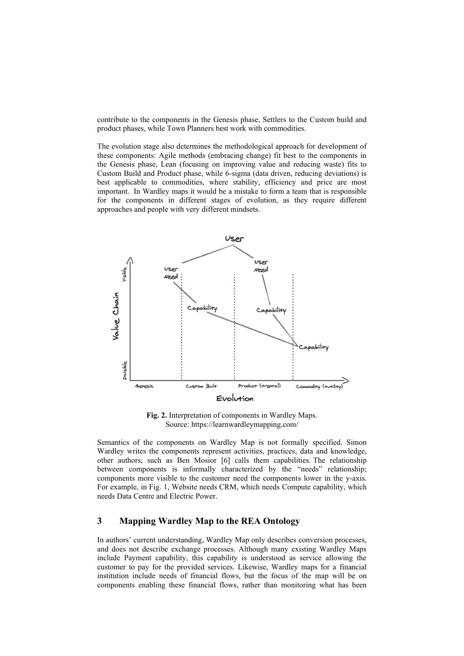contribute to the components in the Genesis phase, Settlers to the Custom build and product phases, while Town Planners best work with commodities.

The evolution stage also determines the methodological approach for development of these components: Agile methods (embracing change) fit best to the components in the Genesis phase, Lean (focusing on improving value and reducing waste) fits to Custom Build and Product phase, while 6-sigma (data driven, reducing deviations) is best applicable to commodities, where stability, efficiency and price are most important. In Wardley maps it would be a mistake to form a team that is responsible for the components in different stages of evolution, as they require different approaches and people with very different mindsets.



**Fig. 2.** Interpretation of components in Wardley Maps. Source[: https://learnwardleymapping.com/](https://learnwardleymapping.com/)

Semantics of the components on Wardley Map is not formally specified. Simon Wardley writes the components represent activities, practices, data and knowledge, other authors, such as Ben Mosior [6] calls them capabilities. The relationship between components is informally characterized by the "needs" relationship; components more visible to the customer need the components lower in the y-axis. For example, in Fig. 1, Website needs CRM, which needs Compute capability, which needs Data Centre and Electric Power.

# **3 Mapping Wardley Map to the REA Ontology**

In authors' current understanding, Wardley Map only describes conversion processes, and does not describe exchange processes. Although many existing Wardley Maps include Payment capability, this capability is understood as service allowing the customer to pay for the provided services. Likewise, Wardley maps for a financial institution include needs of financial flows, but the focus of the map will be on components enabling these financial flows, rather than monitoring what has been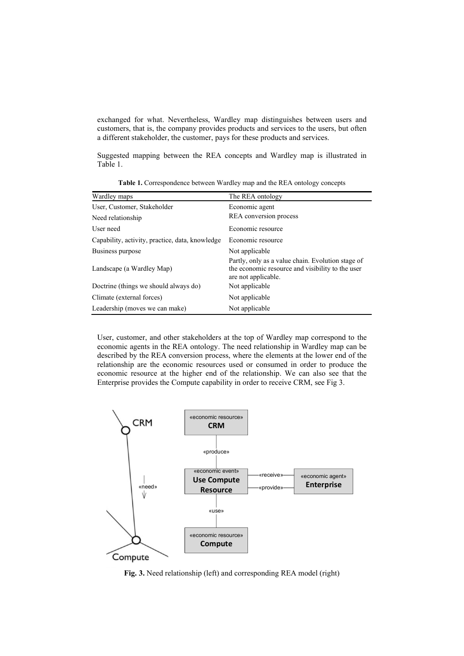exchanged for what. Nevertheless, Wardley map distinguishes between users and customers, that is, the company provides products and services to the users, but often a different stakeholder, the customer, pays for these products and services.

Suggested mapping between the REA concepts and Wardley map is illustrated in Table 1.

| Wardley maps                                    | The REA ontology                                                                                                             |
|-------------------------------------------------|------------------------------------------------------------------------------------------------------------------------------|
| User, Customer, Stakeholder                     | Economic agent                                                                                                               |
| Need relationship                               | REA conversion process                                                                                                       |
| User need                                       | Economic resource                                                                                                            |
| Capability, activity, practice, data, knowledge | Economic resource                                                                                                            |
| Business purpose                                | Not applicable                                                                                                               |
| Landscape (a Wardley Map)                       | Partly, only as a value chain. Evolution stage of<br>the economic resource and visibility to the user<br>are not applicable. |
| Doctrine (things we should always do)           | Not applicable                                                                                                               |
| Climate (external forces)                       | Not applicable                                                                                                               |
| Leadership (moves we can make)                  | Not applicable                                                                                                               |

**Table 1.** Correspondence between Wardley map and the REA ontology concepts

User, customer, and other stakeholders at the top of Wardley map correspond to the economic agents in the REA ontology. The need relationship in Wardley map can be described by the REA conversion process, where the elements at the lower end of the relationship are the economic resources used or consumed in order to produce the economic resource at the higher end of the relationship. We can also see that the Enterprise provides the Compute capability in order to receive CRM, see Fig 3.



**Fig. 3.** Need relationship (left) and corresponding REA model (right)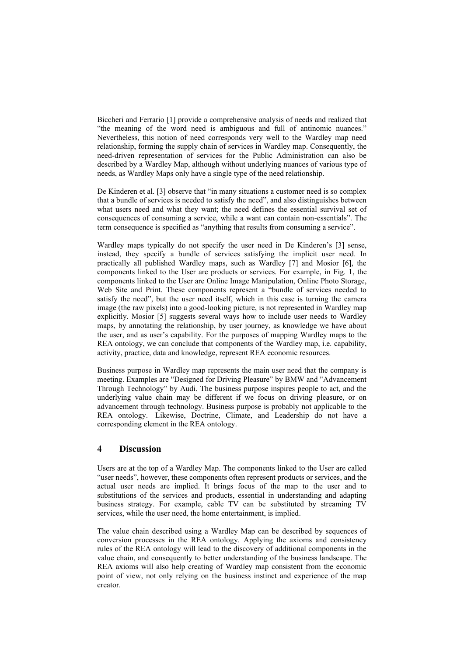Biccheri and Ferrario [1] provide a comprehensive analysis of needs and realized that "the meaning of the word need is ambiguous and full of antinomic nuances." Nevertheless, this notion of need corresponds very well to the Wardley map need relationship, forming the supply chain of services in Wardley map. Consequently, the need-driven representation of services for the Public Administration can also be described by a Wardley Map, although without underlying nuances of various type of needs, as Wardley Maps only have a single type of the need relationship.

De Kinderen et al. [3] observe that "in many situations a customer need is so complex that a bundle of services is needed to satisfy the need", and also distinguishes between what users need and what they want; the need defines the essential survival set of consequences of consuming a service, while a want can contain non-essentials". The term consequence is specified as "anything that results from consuming a service".

Wardley maps typically do not specify the user need in De Kinderen's [3] sense, instead, they specify a bundle of services satisfying the implicit user need. In practically all published Wardley maps, such as Wardley [7] and Mosior [6], the components linked to the User are products or services. For example, in Fig. 1, the components linked to the User are Online Image Manipulation, Online Photo Storage, Web Site and Print. These components represent a "bundle of services needed to satisfy the need", but the user need itself, which in this case is turning the camera image (the raw pixels) into a good-looking picture, is not represented in Wardley map explicitly. Mosior [5] suggests several ways how to include user needs to Wardley maps, by annotating the relationship, by user journey, as knowledge we have about the user, and as user's capability. For the purposes of mapping Wardley maps to the REA ontology, we can conclude that components of the Wardley map, i.e. capability, activity, practice, data and knowledge, represent REA economic resources.

Business purpose in Wardley map represents the main user need that the company is meeting. Examples are "Designed for Driving Pleasure" by BMW and "Advancement Through Technology" by Audi. The business purpose inspires people to act, and the underlying value chain may be different if we focus on driving pleasure, or on advancement through technology. Business purpose is probably not applicable to the REA ontology. Likewise, Doctrine, Climate, and Leadership do not have a corresponding element in the REA ontology.

### **4 Discussion**

Users are at the top of a Wardley Map. The components linked to the User are called "user needs", however, these components often represent products or services, and the actual user needs are implied. It brings focus of the map to the user and to substitutions of the services and products, essential in understanding and adapting business strategy. For example, cable TV can be substituted by streaming TV services, while the user need, the home entertainment, is implied.

The value chain described using a Wardley Map can be described by sequences of conversion processes in the REA ontology. Applying the axioms and consistency rules of the REA ontology will lead to the discovery of additional components in the value chain, and consequently to better understanding of the business landscape. The REA axioms will also help creating of Wardley map consistent from the economic point of view, not only relying on the business instinct and experience of the map creator.